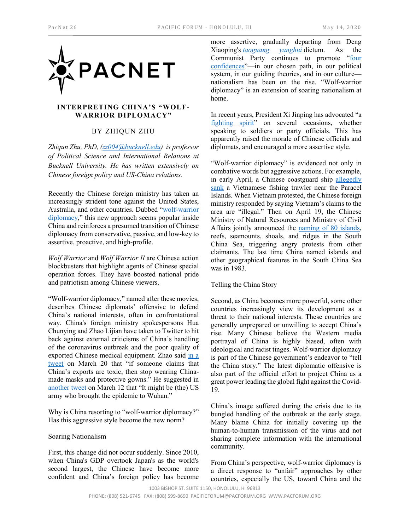

## **INTERPRETING CHINA'S "WOLF-WARRIOR DIPLOMACY"**

# BY ZHIQUN ZHU

*Zhiqun Zhu, PhD, [\(zz004@bucknell.edu\)](mailto:zz004@bucknell.edu) is professor of Political Science and International Relations at Bucknell University. He has written extensively on Chinese foreign policy and US-China relations.*

Recently the Chinese foreign ministry has taken an increasingly strident tone against the United States, Australia, and other countries. Dubbed ["wolf-warrior](https://www.voanews.com/covid-19-pandemic/chinas-wolf-warrior-diplomacy-prompts-international-backlash)  [diplomacy,"](https://www.voanews.com/covid-19-pandemic/chinas-wolf-warrior-diplomacy-prompts-international-backlash) this new approach seems popular inside China and reinforces a presumed transition of Chinese diplomacy from conservative, passive, and low-key to assertive, proactive, and high-profile.

*Wolf Warrior* and *Wolf Warrior II* are Chinese action blockbusters that highlight agents of Chinese special operation forces. They have boosted national pride and patriotism among Chinese viewers.

"Wolf-warrior diplomacy," named after these movies, describes Chinese diplomats' offensive to defend China's national interests, often in confrontational way. China's foreign ministry spokespersons Hua Chunying and Zhao Lijian have taken to Twitter to hit back against external criticisms of China's handling of the coronavirus outbreak and the poor quality of exported Chinese medical equipment. Zhao said [in a](https://twitter.com/zlj517/status/1241031638504493056?lang=en)  [tweet](https://twitter.com/zlj517/status/1241031638504493056?lang=en) on March 20 that "if someone claims that China's exports are toxic, then stop wearing Chinamade masks and protective gowns." He suggested in [another tweet](https://www.nbcnews.com/news/world/coronavirus-chinese-official-suggests-u-s-army-blame-outbreak-n1157826) on March 12 that "It might be (the) US army who brought the epidemic to Wuhan."

Why is China resorting to "wolf-warrior diplomacy?" Has this aggressive style become the new norm?

## Soaring Nationalism

First, this change did not occur suddenly. Since 2010, when China's GDP overtook Japan's as the world's second largest, the Chinese have become more confident and China's foreign policy has become

more assertive, gradually departing from Deng Xiaoping's *[taoguang yanghui](https://www.linkedin.com/pulse/how-why-understand-tao-guang-yang-hui-david-wolf)* dictum. As the Communist Party continues to promote "four [confidences"](http://keywords.china.org.cn/2018-10/30/content_69097952.htm)—in our chosen path, in our political system, in our guiding theories, and in our culture nationalism has been on the rise. "Wolf-warrior diplomacy" is an extension of soaring nationalism at home.

In recent years, President Xi Jinping has advocated "a [fighting spirit"](https://www.bloomberg.com/news/articles/2019-09-03/china-s-xi-urges-party-to-prepare-for-long-term-struggle) on several occasions, whether speaking to soldiers or party officials. This has apparently raised the morale of Chinese officials and diplomats, and encouraged a more assertive style.

"Wolf-warrior diplomacy" is evidenced not only in combative words but aggressive actions. For example, in early April, a Chinese coastguard ship [allegedly](https://www.reuters.com/article/us-vietnam-china-southchinasea/vietnam-protests-beijings-sinking-of-south-china-sea-boat-idUSKBN21M072)  [sank](https://www.reuters.com/article/us-vietnam-china-southchinasea/vietnam-protests-beijings-sinking-of-south-china-sea-boat-idUSKBN21M072) a Vietnamese fishing trawler near the Paracel Islands. When Vietnam protested, the Chinese foreign ministry responded by saying Vietnam's claims to the area are "illegal." Then on April 19, the Chinese Ministry of Natural Resources and Ministry of Civil Affairs jointly announced the [naming of 80 islands,](https://www.barrons.com/news/beijing-names-islands-in-disputed-south-china-sea-01587466205) reefs, seamounts, shoals, and ridges in the South China Sea, triggering angry protests from other claimants. The last time China named islands and other geographical features in the South China Sea was in 1983.

### Telling the China Story

Second, as China becomes more powerful, some other countries increasingly view its development as a threat to their national interests. These countries are generally unprepared or unwilling to accept China's rise. Many Chinese believe the Western media portrayal of China is highly biased, often with ideological and racist tinges. Wolf-warrior diplomacy is part of the Chinese government's endeavor to "tell the China story." The latest diplomatic offensive is also part of the official effort to project China as a great power leading the global fight against the Covid-19.

China's image suffered during the crisis due to its bungled handling of the outbreak at the early stage. Many blame China for initially covering up the human-to-human transmission of the virus and not sharing complete information with the international community.

From China's perspective, wolf-warrior diplomacy is a direct response to "unfair" approaches by other countries, especially the US, toward China and the